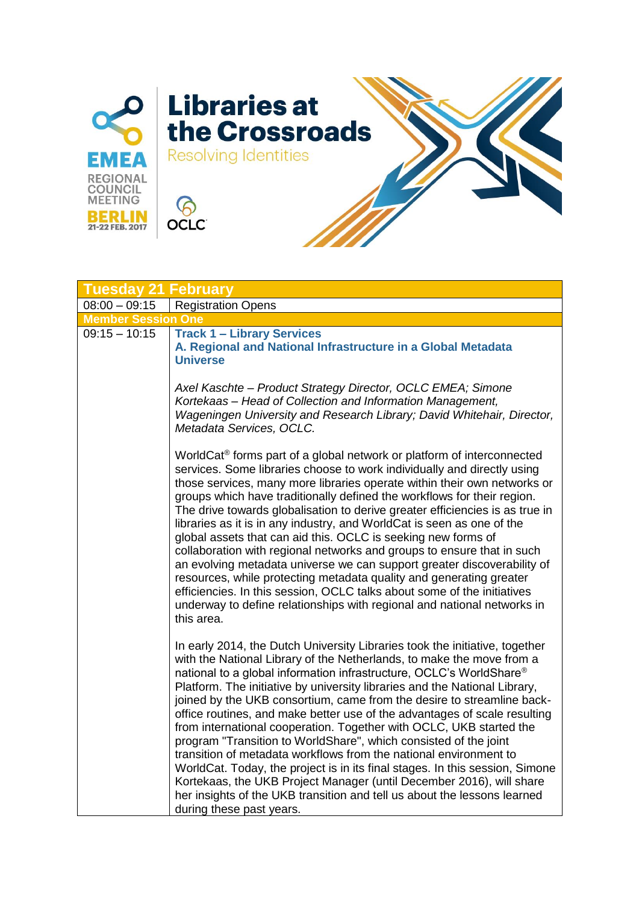

| <b>Tuesday 21 February</b> |                                                                                                                                                                                                                                                                                                                                                                                                                                                                                                                                                                                                                                                                                                                                                                                                                                                                                                                                                  |
|----------------------------|--------------------------------------------------------------------------------------------------------------------------------------------------------------------------------------------------------------------------------------------------------------------------------------------------------------------------------------------------------------------------------------------------------------------------------------------------------------------------------------------------------------------------------------------------------------------------------------------------------------------------------------------------------------------------------------------------------------------------------------------------------------------------------------------------------------------------------------------------------------------------------------------------------------------------------------------------|
| $08:00 - 09:15$            | <b>Registration Opens</b>                                                                                                                                                                                                                                                                                                                                                                                                                                                                                                                                                                                                                                                                                                                                                                                                                                                                                                                        |
| <b>Member Session One</b>  |                                                                                                                                                                                                                                                                                                                                                                                                                                                                                                                                                                                                                                                                                                                                                                                                                                                                                                                                                  |
| $09:15 - 10:15$            | <b>Track 1 - Library Services</b><br>A. Regional and National Infrastructure in a Global Metadata<br><b>Universe</b>                                                                                                                                                                                                                                                                                                                                                                                                                                                                                                                                                                                                                                                                                                                                                                                                                             |
|                            | Axel Kaschte - Product Strategy Director, OCLC EMEA; Simone<br>Kortekaas - Head of Collection and Information Management,<br>Wageningen University and Research Library; David Whitehair, Director,<br>Metadata Services, OCLC.                                                                                                                                                                                                                                                                                                                                                                                                                                                                                                                                                                                                                                                                                                                  |
|                            | WorldCat <sup>®</sup> forms part of a global network or platform of interconnected<br>services. Some libraries choose to work individually and directly using<br>those services, many more libraries operate within their own networks or<br>groups which have traditionally defined the workflows for their region.<br>The drive towards globalisation to derive greater efficiencies is as true in<br>libraries as it is in any industry, and WorldCat is seen as one of the<br>global assets that can aid this. OCLC is seeking new forms of<br>collaboration with regional networks and groups to ensure that in such<br>an evolving metadata universe we can support greater discoverability of<br>resources, while protecting metadata quality and generating greater<br>efficiencies. In this session, OCLC talks about some of the initiatives<br>underway to define relationships with regional and national networks in<br>this area.  |
|                            | In early 2014, the Dutch University Libraries took the initiative, together<br>with the National Library of the Netherlands, to make the move from a<br>national to a global information infrastructure, OCLC's WorldShare®<br>Platform. The initiative by university libraries and the National Library,<br>joined by the UKB consortium, came from the desire to streamline back-<br>office routines, and make better use of the advantages of scale resulting<br>from international cooperation. Together with OCLC, UKB started the<br>program "Transition to WorldShare", which consisted of the joint<br>transition of metadata workflows from the national environment to<br>WorldCat. Today, the project is in its final stages. In this session, Simone<br>Kortekaas, the UKB Project Manager (until December 2016), will share<br>her insights of the UKB transition and tell us about the lessons learned<br>during these past years. |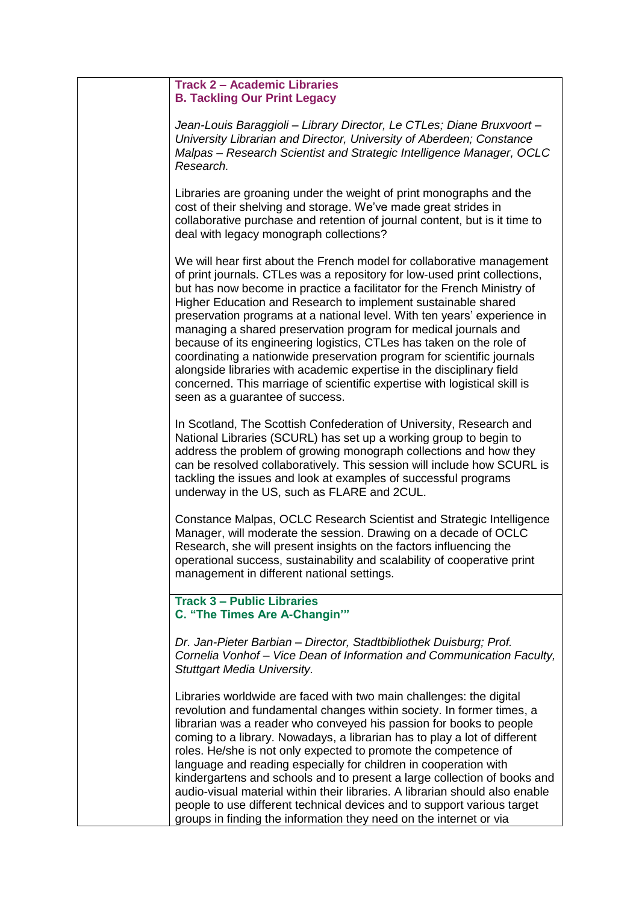## **Track 2 – Academic Libraries B. Tackling Our Print Legacy**

*Jean-Louis Baraggioli – Library Director, Le CTLes; Diane Bruxvoort – University Librarian and Director, University of Aberdeen; Constance Malpas – Research Scientist and Strategic Intelligence Manager, OCLC Research.*

Libraries are groaning under the weight of print monographs and the cost of their shelving and storage. We've made great strides in collaborative purchase and retention of journal content, but is it time to deal with legacy monograph collections?

We will hear first about the French model for collaborative management of print journals. CTLes was a repository for low-used print collections, but has now become in practice a facilitator for the French Ministry of Higher Education and Research to implement sustainable shared preservation programs at a national level. With ten years' experience in managing a shared preservation program for medical journals and because of its engineering logistics, CTLes has taken on the role of coordinating a nationwide preservation program for scientific journals alongside libraries with academic expertise in the disciplinary field concerned. This marriage of scientific expertise with logistical skill is seen as a guarantee of success.

In Scotland, The Scottish Confederation of University, Research and National Libraries (SCURL) has set up a working group to begin to address the problem of growing monograph collections and how they can be resolved collaboratively. This session will include how SCURL is tackling the issues and look at examples of successful programs underway in the US, such as FLARE and 2CUL.

Constance Malpas, OCLC Research Scientist and Strategic Intelligence Manager, will moderate the session. Drawing on a decade of OCLC Research, she will present insights on the factors influencing the operational success, sustainability and scalability of cooperative print management in different national settings.

**Track 3 – Public Libraries C. "The Times Are A-Changin'"**

*Dr. Jan-Pieter Barbian – Director, Stadtbibliothek Duisburg; Prof. Cornelia Vonhof – Vice Dean of Information and Communication Faculty, Stuttgart Media University.*

Libraries worldwide are faced with two main challenges: the digital revolution and fundamental changes within society. In former times, a librarian was a reader who conveyed his passion for books to people coming to a library. Nowadays, a librarian has to play a lot of different roles. He/she is not only expected to promote the competence of language and reading especially for children in cooperation with kindergartens and schools and to present a large collection of books and audio-visual material within their libraries. A librarian should also enable people to use different technical devices and to support various target groups in finding the information they need on the internet or via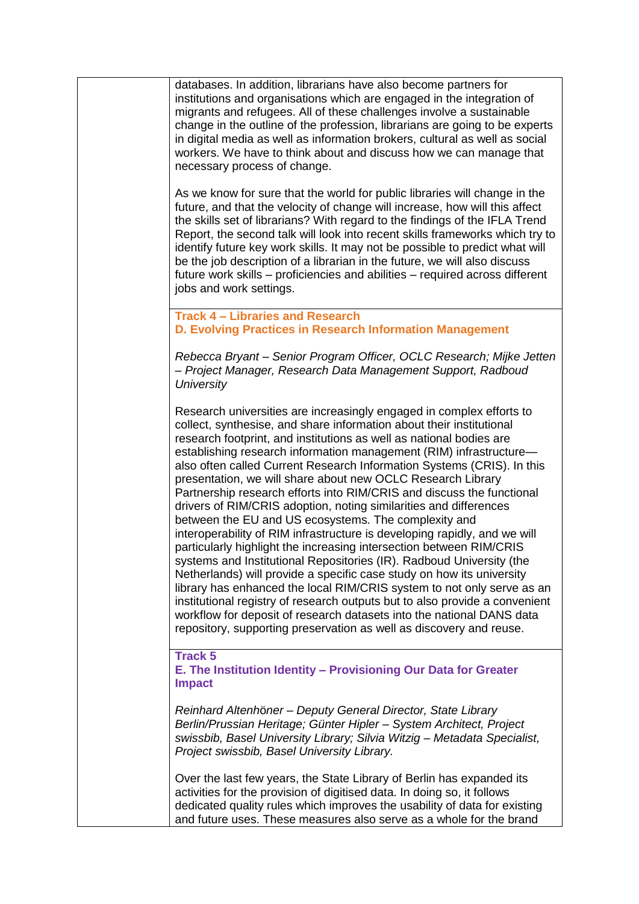| databases. In addition, librarians have also become partners for<br>institutions and organisations which are engaged in the integration of<br>migrants and refugees. All of these challenges involve a sustainable<br>change in the outline of the profession, librarians are going to be experts<br>in digital media as well as information brokers, cultural as well as social<br>workers. We have to think about and discuss how we can manage that<br>necessary process of change.                                                                                                                                                                                                                                                                                                                                                                                                                                                                                                                                                                                                                                                                                                                                                                 |
|--------------------------------------------------------------------------------------------------------------------------------------------------------------------------------------------------------------------------------------------------------------------------------------------------------------------------------------------------------------------------------------------------------------------------------------------------------------------------------------------------------------------------------------------------------------------------------------------------------------------------------------------------------------------------------------------------------------------------------------------------------------------------------------------------------------------------------------------------------------------------------------------------------------------------------------------------------------------------------------------------------------------------------------------------------------------------------------------------------------------------------------------------------------------------------------------------------------------------------------------------------|
| As we know for sure that the world for public libraries will change in the<br>future, and that the velocity of change will increase, how will this affect<br>the skills set of librarians? With regard to the findings of the IFLA Trend<br>Report, the second talk will look into recent skills frameworks which try to<br>identify future key work skills. It may not be possible to predict what will<br>be the job description of a librarian in the future, we will also discuss<br>future work skills – proficiencies and abilities – required across different<br>jobs and work settings.                                                                                                                                                                                                                                                                                                                                                                                                                                                                                                                                                                                                                                                       |
| <b>Track 4 - Libraries and Research</b><br>D. Evolving Practices in Research Information Management                                                                                                                                                                                                                                                                                                                                                                                                                                                                                                                                                                                                                                                                                                                                                                                                                                                                                                                                                                                                                                                                                                                                                    |
| Rebecca Bryant - Senior Program Officer, OCLC Research; Mijke Jetten<br>- Project Manager, Research Data Management Support, Radboud<br><b>University</b>                                                                                                                                                                                                                                                                                                                                                                                                                                                                                                                                                                                                                                                                                                                                                                                                                                                                                                                                                                                                                                                                                              |
| Research universities are increasingly engaged in complex efforts to<br>collect, synthesise, and share information about their institutional<br>research footprint, and institutions as well as national bodies are<br>establishing research information management (RIM) infrastructure-<br>also often called Current Research Information Systems (CRIS). In this<br>presentation, we will share about new OCLC Research Library<br>Partnership research efforts into RIM/CRIS and discuss the functional<br>drivers of RIM/CRIS adoption, noting similarities and differences<br>between the EU and US ecosystems. The complexity and<br>interoperability of RIM infrastructure is developing rapidly, and we will<br>particularly highlight the increasing intersection between RIM/CRIS<br>systems and Institutional Repositories (IR). Radboud University (the<br>Netherlands) will provide a specific case study on how its university<br>library has enhanced the local RIM/CRIS system to not only serve as an<br>institutional registry of research outputs but to also provide a convenient<br>workflow for deposit of research datasets into the national DANS data<br>repository, supporting preservation as well as discovery and reuse. |
| <b>Track 5</b><br>E. The Institution Identity - Provisioning Our Data for Greater<br><b>Impact</b>                                                                                                                                                                                                                                                                                                                                                                                                                                                                                                                                                                                                                                                                                                                                                                                                                                                                                                                                                                                                                                                                                                                                                     |
| Reinhard Altenhöner - Deputy General Director, State Library<br>Berlin/Prussian Heritage; Günter Hipler - System Architect, Project<br>swissbib, Basel University Library; Silvia Witzig - Metadata Specialist,<br>Project swissbib, Basel University Library.                                                                                                                                                                                                                                                                                                                                                                                                                                                                                                                                                                                                                                                                                                                                                                                                                                                                                                                                                                                         |
| Over the last few years, the State Library of Berlin has expanded its<br>activities for the provision of digitised data. In doing so, it follows<br>dedicated quality rules which improves the usability of data for existing<br>and future uses. These measures also serve as a whole for the brand                                                                                                                                                                                                                                                                                                                                                                                                                                                                                                                                                                                                                                                                                                                                                                                                                                                                                                                                                   |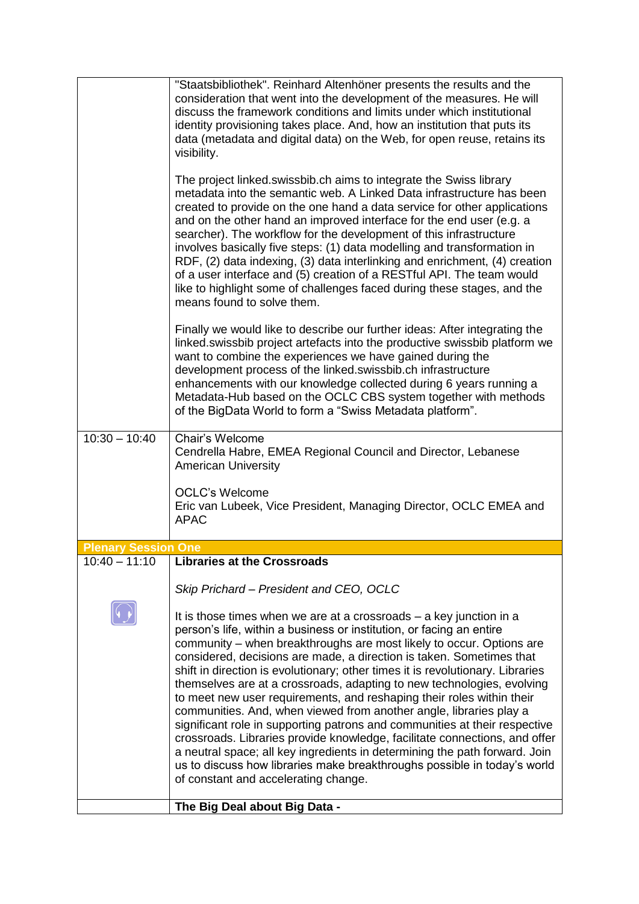|                            | "Staatsbibliothek". Reinhard Altenhöner presents the results and the<br>consideration that went into the development of the measures. He will<br>discuss the framework conditions and limits under which institutional<br>identity provisioning takes place. And, how an institution that puts its<br>data (metadata and digital data) on the Web, for open reuse, retains its<br>visibility.                                                                                                                                                                                                                                                                                                                                                                                                                                                                                                                                                                        |
|----------------------------|----------------------------------------------------------------------------------------------------------------------------------------------------------------------------------------------------------------------------------------------------------------------------------------------------------------------------------------------------------------------------------------------------------------------------------------------------------------------------------------------------------------------------------------------------------------------------------------------------------------------------------------------------------------------------------------------------------------------------------------------------------------------------------------------------------------------------------------------------------------------------------------------------------------------------------------------------------------------|
|                            | The project linked.swissbib.ch aims to integrate the Swiss library<br>metadata into the semantic web. A Linked Data infrastructure has been<br>created to provide on the one hand a data service for other applications<br>and on the other hand an improved interface for the end user (e.g. a<br>searcher). The workflow for the development of this infrastructure<br>involves basically five steps: (1) data modelling and transformation in<br>RDF, (2) data indexing, (3) data interlinking and enrichment, (4) creation<br>of a user interface and (5) creation of a RESTful API. The team would<br>like to highlight some of challenges faced during these stages, and the<br>means found to solve them.                                                                                                                                                                                                                                                     |
|                            | Finally we would like to describe our further ideas: After integrating the<br>linked.swissbib project artefacts into the productive swissbib platform we<br>want to combine the experiences we have gained during the<br>development process of the linked.swissbib.ch infrastructure<br>enhancements with our knowledge collected during 6 years running a<br>Metadata-Hub based on the OCLC CBS system together with methods<br>of the BigData World to form a "Swiss Metadata platform".                                                                                                                                                                                                                                                                                                                                                                                                                                                                          |
| $10:30 - 10:40$            | Chair's Welcome<br>Cendrella Habre, EMEA Regional Council and Director, Lebanese<br><b>American University</b>                                                                                                                                                                                                                                                                                                                                                                                                                                                                                                                                                                                                                                                                                                                                                                                                                                                       |
|                            | <b>OCLC's Welcome</b><br>Eric van Lubeek, Vice President, Managing Director, OCLC EMEA and<br><b>APAC</b>                                                                                                                                                                                                                                                                                                                                                                                                                                                                                                                                                                                                                                                                                                                                                                                                                                                            |
| <b>Plenary Session One</b> |                                                                                                                                                                                                                                                                                                                                                                                                                                                                                                                                                                                                                                                                                                                                                                                                                                                                                                                                                                      |
| $10:40 - 11:10$            | <b>Libraries at the Crossroads</b>                                                                                                                                                                                                                                                                                                                                                                                                                                                                                                                                                                                                                                                                                                                                                                                                                                                                                                                                   |
|                            | Skip Prichard - President and CEO, OCLC                                                                                                                                                                                                                                                                                                                                                                                                                                                                                                                                                                                                                                                                                                                                                                                                                                                                                                                              |
|                            | It is those times when we are at a crossroads – a key junction in a<br>person's life, within a business or institution, or facing an entire<br>community – when breakthroughs are most likely to occur. Options are<br>considered, decisions are made, a direction is taken. Sometimes that<br>shift in direction is evolutionary; other times it is revolutionary. Libraries<br>themselves are at a crossroads, adapting to new technologies, evolving<br>to meet new user requirements, and reshaping their roles within their<br>communities. And, when viewed from another angle, libraries play a<br>significant role in supporting patrons and communities at their respective<br>crossroads. Libraries provide knowledge, facilitate connections, and offer<br>a neutral space; all key ingredients in determining the path forward. Join<br>us to discuss how libraries make breakthroughs possible in today's world<br>of constant and accelerating change. |
|                            | The Big Deal about Big Data -                                                                                                                                                                                                                                                                                                                                                                                                                                                                                                                                                                                                                                                                                                                                                                                                                                                                                                                                        |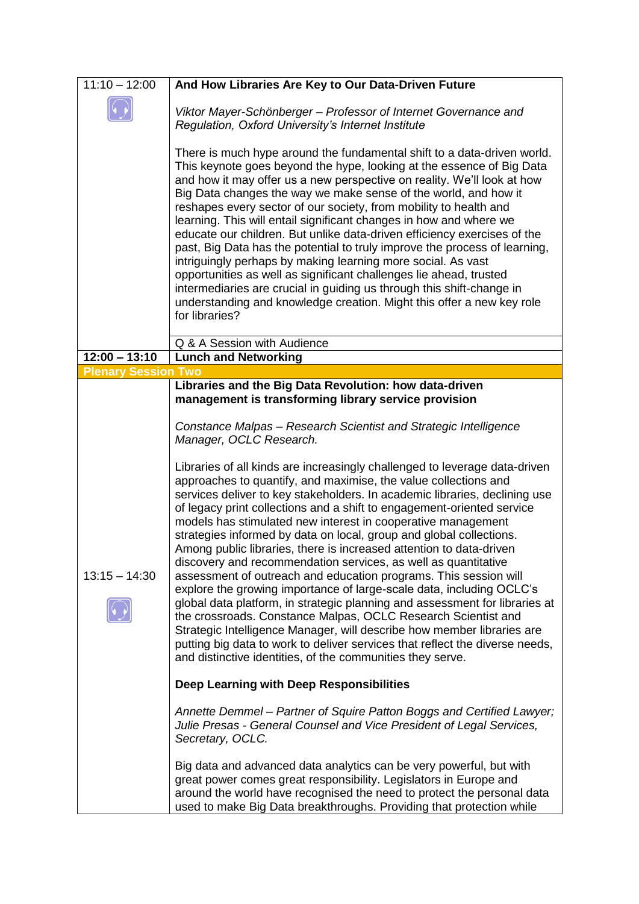| $11:10 - 12:00$                               | And How Libraries Are Key to Our Data-Driven Future                                                                                                                                                                                                                                                                                                                                                                                                                                                                                                                                                                                                                                                                                                                                                                                                                                                                                                                                                                                                                                                                                                                                                                                                                                                                        |
|-----------------------------------------------|----------------------------------------------------------------------------------------------------------------------------------------------------------------------------------------------------------------------------------------------------------------------------------------------------------------------------------------------------------------------------------------------------------------------------------------------------------------------------------------------------------------------------------------------------------------------------------------------------------------------------------------------------------------------------------------------------------------------------------------------------------------------------------------------------------------------------------------------------------------------------------------------------------------------------------------------------------------------------------------------------------------------------------------------------------------------------------------------------------------------------------------------------------------------------------------------------------------------------------------------------------------------------------------------------------------------------|
|                                               | Viktor Mayer-Schönberger - Professor of Internet Governance and<br>Regulation, Oxford University's Internet Institute                                                                                                                                                                                                                                                                                                                                                                                                                                                                                                                                                                                                                                                                                                                                                                                                                                                                                                                                                                                                                                                                                                                                                                                                      |
|                                               | There is much hype around the fundamental shift to a data-driven world.<br>This keynote goes beyond the hype, looking at the essence of Big Data<br>and how it may offer us a new perspective on reality. We'll look at how<br>Big Data changes the way we make sense of the world, and how it<br>reshapes every sector of our society, from mobility to health and<br>learning. This will entail significant changes in how and where we<br>educate our children. But unlike data-driven efficiency exercises of the<br>past, Big Data has the potential to truly improve the process of learning,<br>intriguingly perhaps by making learning more social. As vast<br>opportunities as well as significant challenges lie ahead, trusted<br>intermediaries are crucial in guiding us through this shift-change in<br>understanding and knowledge creation. Might this offer a new key role<br>for libraries?                                                                                                                                                                                                                                                                                                                                                                                                              |
|                                               | Q & A Session with Audience                                                                                                                                                                                                                                                                                                                                                                                                                                                                                                                                                                                                                                                                                                                                                                                                                                                                                                                                                                                                                                                                                                                                                                                                                                                                                                |
| $12:00 - 13:10$                               | <b>Lunch and Networking</b>                                                                                                                                                                                                                                                                                                                                                                                                                                                                                                                                                                                                                                                                                                                                                                                                                                                                                                                                                                                                                                                                                                                                                                                                                                                                                                |
| <b>Plenary Session Two</b><br>$13:15 - 14:30$ | Libraries and the Big Data Revolution: how data-driven<br>management is transforming library service provision<br>Constance Malpas - Research Scientist and Strategic Intelligence<br>Manager, OCLC Research.<br>Libraries of all kinds are increasingly challenged to leverage data-driven<br>approaches to quantify, and maximise, the value collections and<br>services deliver to key stakeholders. In academic libraries, declining use<br>of legacy print collections and a shift to engagement-oriented service<br>models has stimulated new interest in cooperative management<br>strategies informed by data on local, group and global collections.<br>Among public libraries, there is increased attention to data-driven<br>discovery and recommendation services, as well as quantitative<br>assessment of outreach and education programs. This session will<br>explore the growing importance of large-scale data, including OCLC's<br>global data platform, in strategic planning and assessment for libraries at<br>the crossroads. Constance Malpas, OCLC Research Scientist and<br>Strategic Intelligence Manager, will describe how member libraries are<br>putting big data to work to deliver services that reflect the diverse needs,<br>and distinctive identities, of the communities they serve. |
|                                               | Deep Learning with Deep Responsibilities<br>Annette Demmel – Partner of Squire Patton Boggs and Certified Lawyer;<br>Julie Presas - General Counsel and Vice President of Legal Services,<br>Secretary, OCLC.                                                                                                                                                                                                                                                                                                                                                                                                                                                                                                                                                                                                                                                                                                                                                                                                                                                                                                                                                                                                                                                                                                              |
|                                               | Big data and advanced data analytics can be very powerful, but with<br>great power comes great responsibility. Legislators in Europe and<br>around the world have recognised the need to protect the personal data<br>used to make Big Data breakthroughs. Providing that protection while                                                                                                                                                                                                                                                                                                                                                                                                                                                                                                                                                                                                                                                                                                                                                                                                                                                                                                                                                                                                                                 |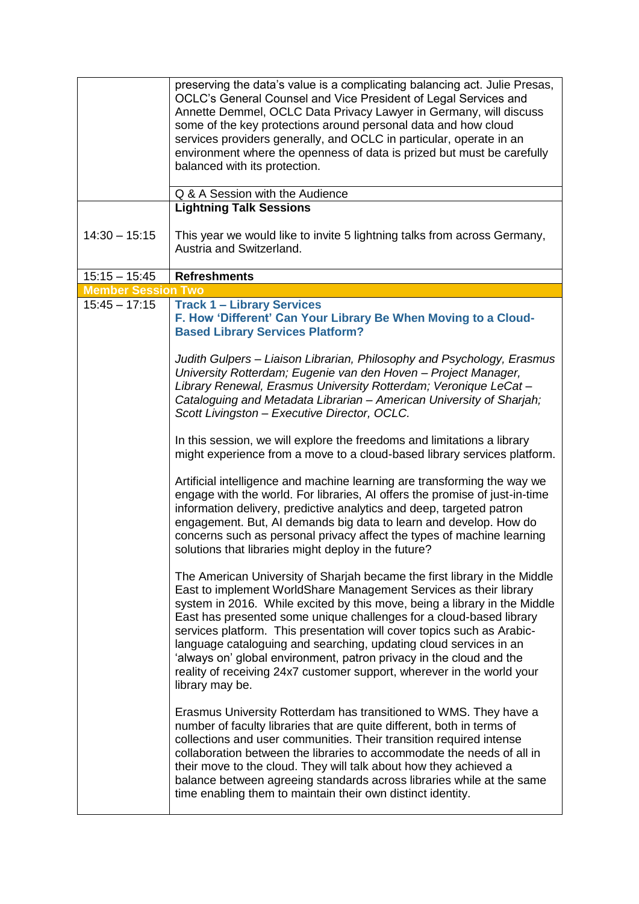|                           | preserving the data's value is a complicating balancing act. Julie Presas,<br>OCLC's General Counsel and Vice President of Legal Services and<br>Annette Demmel, OCLC Data Privacy Lawyer in Germany, will discuss<br>some of the key protections around personal data and how cloud<br>services providers generally, and OCLC in particular, operate in an<br>environment where the openness of data is prized but must be carefully<br>balanced with its protection.<br>Q & A Session with the Audience                                                                                                             |
|---------------------------|-----------------------------------------------------------------------------------------------------------------------------------------------------------------------------------------------------------------------------------------------------------------------------------------------------------------------------------------------------------------------------------------------------------------------------------------------------------------------------------------------------------------------------------------------------------------------------------------------------------------------|
|                           | <b>Lightning Talk Sessions</b>                                                                                                                                                                                                                                                                                                                                                                                                                                                                                                                                                                                        |
| $14:30 - 15:15$           | This year we would like to invite 5 lightning talks from across Germany,<br>Austria and Switzerland.                                                                                                                                                                                                                                                                                                                                                                                                                                                                                                                  |
| $15:15 - 15:45$           | <b>Refreshments</b>                                                                                                                                                                                                                                                                                                                                                                                                                                                                                                                                                                                                   |
| <b>Member Session Two</b> |                                                                                                                                                                                                                                                                                                                                                                                                                                                                                                                                                                                                                       |
| $15:45 - 17:15$           | <b>Track 1 - Library Services</b><br>F. How 'Different' Can Your Library Be When Moving to a Cloud-<br><b>Based Library Services Platform?</b>                                                                                                                                                                                                                                                                                                                                                                                                                                                                        |
|                           | Judith Gulpers – Liaison Librarian, Philosophy and Psychology, Erasmus<br>University Rotterdam; Eugenie van den Hoven - Project Manager,<br>Library Renewal, Erasmus University Rotterdam; Veronique LeCat-<br>Cataloguing and Metadata Librarian - American University of Sharjah;<br>Scott Livingston - Executive Director, OCLC.                                                                                                                                                                                                                                                                                   |
|                           | In this session, we will explore the freedoms and limitations a library<br>might experience from a move to a cloud-based library services platform.                                                                                                                                                                                                                                                                                                                                                                                                                                                                   |
|                           | Artificial intelligence and machine learning are transforming the way we<br>engage with the world. For libraries, AI offers the promise of just-in-time<br>information delivery, predictive analytics and deep, targeted patron<br>engagement. But, AI demands big data to learn and develop. How do<br>concerns such as personal privacy affect the types of machine learning<br>solutions that libraries might deploy in the future?                                                                                                                                                                                |
|                           | The American University of Sharjah became the first library in the Middle<br>East to implement WorldShare Management Services as their library<br>system in 2016. While excited by this move, being a library in the Middle<br>East has presented some unique challenges for a cloud-based library<br>services platform. This presentation will cover topics such as Arabic-<br>language cataloguing and searching, updating cloud services in an<br>'always on' global environment, patron privacy in the cloud and the<br>reality of receiving 24x7 customer support, wherever in the world your<br>library may be. |
|                           | Erasmus University Rotterdam has transitioned to WMS. They have a<br>number of faculty libraries that are quite different, both in terms of<br>collections and user communities. Their transition required intense<br>collaboration between the libraries to accommodate the needs of all in<br>their move to the cloud. They will talk about how they achieved a<br>balance between agreeing standards across libraries while at the same<br>time enabling them to maintain their own distinct identity.                                                                                                             |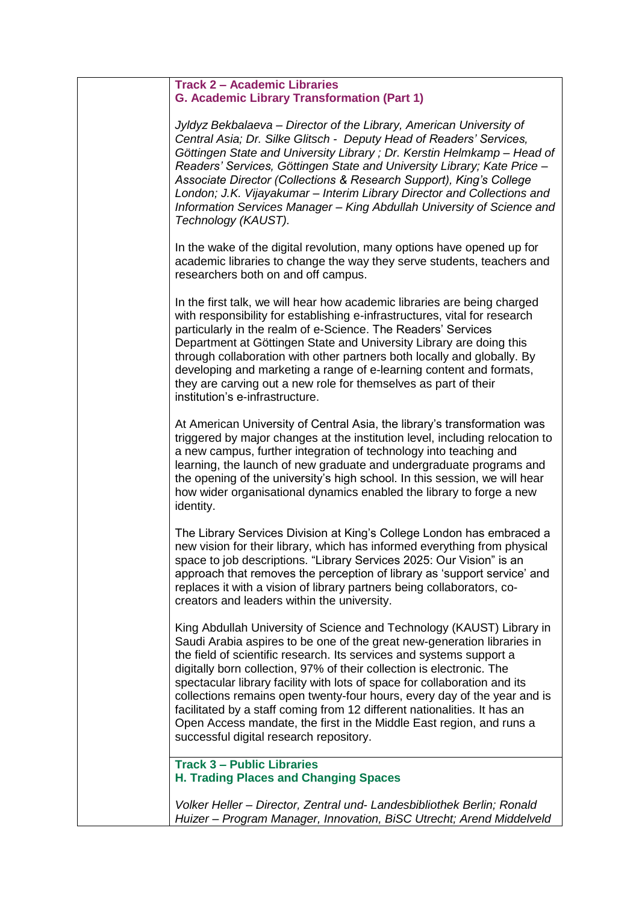## **Track 2 – Academic Libraries G. Academic Library Transformation (Part 1)**

*Jyldyz Bekbalaeva – Director of the Library, American University of Central Asia; Dr. Silke Glitsch - Deputy Head of Readers' Services, Göttingen State and University Library ; Dr. Kerstin Helmkamp – Head of Readers' Services, Göttingen State and University Library; Kate Price – Associate Director (Collections & Research Support), King's College London; J.K. Vijayakumar – Interim Library Director and Collections and Information Services Manager – King Abdullah University of Science and Technology (KAUST).*

In the wake of the digital revolution, many options have opened up for academic libraries to change the way they serve students, teachers and researchers both on and off campus.

In the first talk, we will hear how academic libraries are being charged with responsibility for establishing e-infrastructures, vital for research particularly in the realm of e-Science. The Readers' Services Department at Göttingen State and University Library are doing this through collaboration with other partners both locally and globally. By developing and marketing a range of e-learning content and formats, they are carving out a new role for themselves as part of their institution's e-infrastructure.

At American University of Central Asia, the library's transformation was triggered by major changes at the institution level, including relocation to a new campus, further integration of technology into teaching and learning, the launch of new graduate and undergraduate programs and the opening of the university's high school. In this session, we will hear how wider organisational dynamics enabled the library to forge a new identity.

The Library Services Division at King's College London has embraced a new vision for their library, which has informed everything from physical space to job descriptions. "Library Services 2025: Our Vision" is an approach that removes the perception of library as 'support service' and replaces it with a vision of library partners being collaborators, cocreators and leaders within the university.

King Abdullah University of Science and Technology (KAUST) Library in Saudi Arabia aspires to be one of the great new-generation libraries in the field of scientific research. Its services and systems support a digitally born collection, 97% of their collection is electronic. The spectacular library facility with lots of space for collaboration and its collections remains open twenty-four hours, every day of the year and is facilitated by a staff coming from 12 different nationalities. It has an Open Access mandate, the first in the Middle East region, and runs a successful digital research repository.

## **Track 3 – Public Libraries H. Trading Places and Changing Spaces**

*Volker Heller – Director, Zentral und- Landesbibliothek Berlin; Ronald Huizer – Program Manager, Innovation, BiSC Utrecht; Arend Middelveld*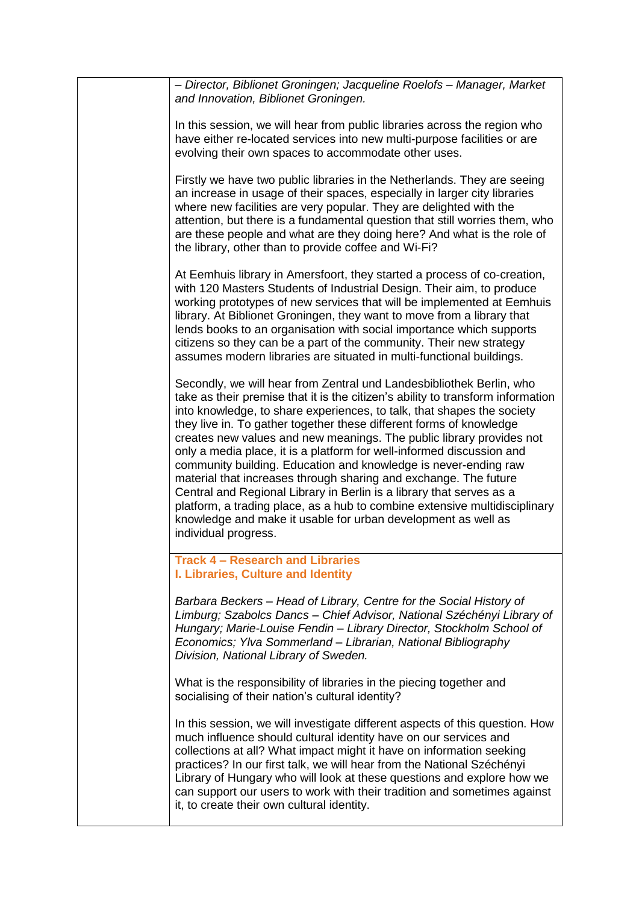| - Director, Biblionet Groningen; Jacqueline Roelofs - Manager, Market<br>and Innovation, Biblionet Groningen.<br>In this session, we will hear from public libraries across the region who<br>have either re-located services into new multi-purpose facilities or are<br>evolving their own spaces to accommodate other uses.<br>Firstly we have two public libraries in the Netherlands. They are seeing<br>an increase in usage of their spaces, especially in larger city libraries<br>where new facilities are very popular. They are delighted with the<br>attention, but there is a fundamental question that still worries them, who<br>are these people and what are they doing here? And what is the role of<br>the library, other than to provide coffee and Wi-Fi?<br>At Eemhuis library in Amersfoort, they started a process of co-creation,<br>with 120 Masters Students of Industrial Design. Their aim, to produce<br>working prototypes of new services that will be implemented at Eemhuis<br>library. At Biblionet Groningen, they want to move from a library that<br>lends books to an organisation with social importance which supports<br>citizens so they can be a part of the community. Their new strategy<br>assumes modern libraries are situated in multi-functional buildings.<br>Secondly, we will hear from Zentral und Landesbibliothek Berlin, who<br>take as their premise that it is the citizen's ability to transform information<br>into knowledge, to share experiences, to talk, that shapes the society<br>they live in. To gather together these different forms of knowledge<br>creates new values and new meanings. The public library provides not<br>only a media place, it is a platform for well-informed discussion and<br>community building. Education and knowledge is never-ending raw<br>material that increases through sharing and exchange. The future<br>Central and Regional Library in Berlin is a library that serves as a<br>platform, a trading place, as a hub to combine extensive multidisciplinary<br>knowledge and make it usable for urban development as well as<br>individual progress.<br><b>Track 4 - Research and Libraries</b><br>I. Libraries, Culture and Identity<br>Barbara Beckers - Head of Library, Centre for the Social History of<br>Limburg; Szabolcs Dancs - Chief Advisor, National Széchényi Library of<br>Hungary; Marie-Louise Fendin - Library Director, Stockholm School of<br>Economics; Ylva Sommerland - Librarian, National Bibliography<br>Division, National Library of Sweden. |
|---------------------------------------------------------------------------------------------------------------------------------------------------------------------------------------------------------------------------------------------------------------------------------------------------------------------------------------------------------------------------------------------------------------------------------------------------------------------------------------------------------------------------------------------------------------------------------------------------------------------------------------------------------------------------------------------------------------------------------------------------------------------------------------------------------------------------------------------------------------------------------------------------------------------------------------------------------------------------------------------------------------------------------------------------------------------------------------------------------------------------------------------------------------------------------------------------------------------------------------------------------------------------------------------------------------------------------------------------------------------------------------------------------------------------------------------------------------------------------------------------------------------------------------------------------------------------------------------------------------------------------------------------------------------------------------------------------------------------------------------------------------------------------------------------------------------------------------------------------------------------------------------------------------------------------------------------------------------------------------------------------------------------------------------------------------------------------------------------------------------------------------------------------------------------------------------------------------------------------------------------------------------------------------------------------------------------------------------------------------------------------------------------------------------------------------------------------------------------------------------------------------------------------------------------------------------------------------|
|                                                                                                                                                                                                                                                                                                                                                                                                                                                                                                                                                                                                                                                                                                                                                                                                                                                                                                                                                                                                                                                                                                                                                                                                                                                                                                                                                                                                                                                                                                                                                                                                                                                                                                                                                                                                                                                                                                                                                                                                                                                                                                                                                                                                                                                                                                                                                                                                                                                                                                                                                                                       |
|                                                                                                                                                                                                                                                                                                                                                                                                                                                                                                                                                                                                                                                                                                                                                                                                                                                                                                                                                                                                                                                                                                                                                                                                                                                                                                                                                                                                                                                                                                                                                                                                                                                                                                                                                                                                                                                                                                                                                                                                                                                                                                                                                                                                                                                                                                                                                                                                                                                                                                                                                                                       |
|                                                                                                                                                                                                                                                                                                                                                                                                                                                                                                                                                                                                                                                                                                                                                                                                                                                                                                                                                                                                                                                                                                                                                                                                                                                                                                                                                                                                                                                                                                                                                                                                                                                                                                                                                                                                                                                                                                                                                                                                                                                                                                                                                                                                                                                                                                                                                                                                                                                                                                                                                                                       |
|                                                                                                                                                                                                                                                                                                                                                                                                                                                                                                                                                                                                                                                                                                                                                                                                                                                                                                                                                                                                                                                                                                                                                                                                                                                                                                                                                                                                                                                                                                                                                                                                                                                                                                                                                                                                                                                                                                                                                                                                                                                                                                                                                                                                                                                                                                                                                                                                                                                                                                                                                                                       |
|                                                                                                                                                                                                                                                                                                                                                                                                                                                                                                                                                                                                                                                                                                                                                                                                                                                                                                                                                                                                                                                                                                                                                                                                                                                                                                                                                                                                                                                                                                                                                                                                                                                                                                                                                                                                                                                                                                                                                                                                                                                                                                                                                                                                                                                                                                                                                                                                                                                                                                                                                                                       |
|                                                                                                                                                                                                                                                                                                                                                                                                                                                                                                                                                                                                                                                                                                                                                                                                                                                                                                                                                                                                                                                                                                                                                                                                                                                                                                                                                                                                                                                                                                                                                                                                                                                                                                                                                                                                                                                                                                                                                                                                                                                                                                                                                                                                                                                                                                                                                                                                                                                                                                                                                                                       |
|                                                                                                                                                                                                                                                                                                                                                                                                                                                                                                                                                                                                                                                                                                                                                                                                                                                                                                                                                                                                                                                                                                                                                                                                                                                                                                                                                                                                                                                                                                                                                                                                                                                                                                                                                                                                                                                                                                                                                                                                                                                                                                                                                                                                                                                                                                                                                                                                                                                                                                                                                                                       |
| What is the responsibility of libraries in the piecing together and<br>socialising of their nation's cultural identity?                                                                                                                                                                                                                                                                                                                                                                                                                                                                                                                                                                                                                                                                                                                                                                                                                                                                                                                                                                                                                                                                                                                                                                                                                                                                                                                                                                                                                                                                                                                                                                                                                                                                                                                                                                                                                                                                                                                                                                                                                                                                                                                                                                                                                                                                                                                                                                                                                                                               |
| In this session, we will investigate different aspects of this question. How<br>much influence should cultural identity have on our services and<br>collections at all? What impact might it have on information seeking<br>practices? In our first talk, we will hear from the National Széchényi<br>Library of Hungary who will look at these questions and explore how we<br>can support our users to work with their tradition and sometimes against<br>it, to create their own cultural identity.                                                                                                                                                                                                                                                                                                                                                                                                                                                                                                                                                                                                                                                                                                                                                                                                                                                                                                                                                                                                                                                                                                                                                                                                                                                                                                                                                                                                                                                                                                                                                                                                                                                                                                                                                                                                                                                                                                                                                                                                                                                                                |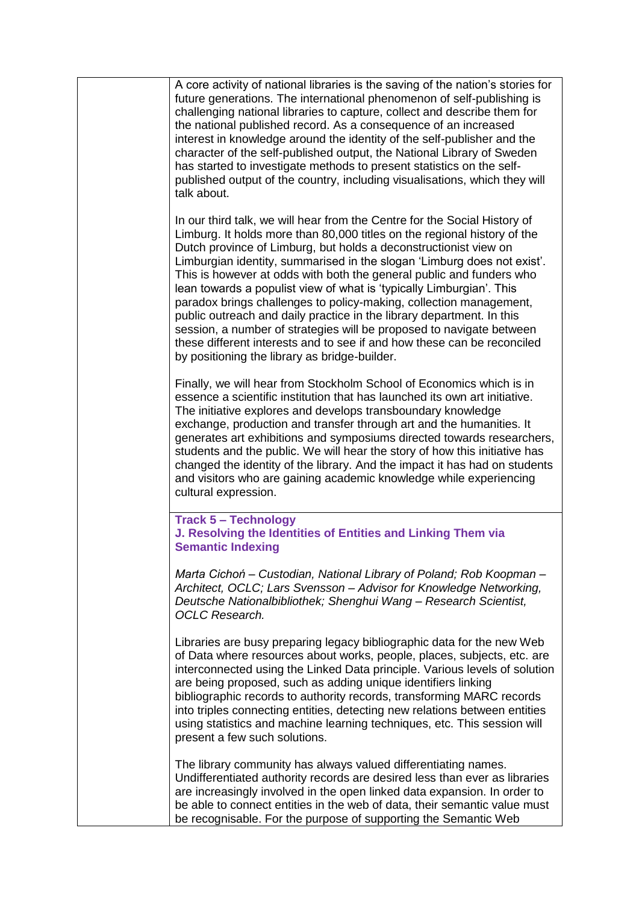| A core activity of national libraries is the saving of the nation's stories for<br>future generations. The international phenomenon of self-publishing is<br>challenging national libraries to capture, collect and describe them for<br>the national published record. As a consequence of an increased<br>interest in knowledge around the identity of the self-publisher and the<br>character of the self-published output, the National Library of Sweden<br>has started to investigate methods to present statistics on the self-<br>published output of the country, including visualisations, which they will<br>talk about.                                                                                                                                                                     |
|---------------------------------------------------------------------------------------------------------------------------------------------------------------------------------------------------------------------------------------------------------------------------------------------------------------------------------------------------------------------------------------------------------------------------------------------------------------------------------------------------------------------------------------------------------------------------------------------------------------------------------------------------------------------------------------------------------------------------------------------------------------------------------------------------------|
| In our third talk, we will hear from the Centre for the Social History of<br>Limburg. It holds more than 80,000 titles on the regional history of the<br>Dutch province of Limburg, but holds a deconstructionist view on<br>Limburgian identity, summarised in the slogan 'Limburg does not exist'.<br>This is however at odds with both the general public and funders who<br>lean towards a populist view of what is 'typically Limburgian'. This<br>paradox brings challenges to policy-making, collection management,<br>public outreach and daily practice in the library department. In this<br>session, a number of strategies will be proposed to navigate between<br>these different interests and to see if and how these can be reconciled<br>by positioning the library as bridge-builder. |
| Finally, we will hear from Stockholm School of Economics which is in<br>essence a scientific institution that has launched its own art initiative.<br>The initiative explores and develops transboundary knowledge<br>exchange, production and transfer through art and the humanities. It<br>generates art exhibitions and symposiums directed towards researchers,<br>students and the public. We will hear the story of how this initiative has<br>changed the identity of the library. And the impact it has had on students<br>and visitors who are gaining academic knowledge while experiencing<br>cultural expression.                                                                                                                                                                          |
| <b>Track 5 - Technology</b><br>J. Resolving the Identities of Entities and Linking Them via<br><b>Semantic Indexing</b>                                                                                                                                                                                                                                                                                                                                                                                                                                                                                                                                                                                                                                                                                 |
| Marta Cichoń – Custodian, National Library of Poland; Rob Koopman –<br>Architect, OCLC; Lars Svensson - Advisor for Knowledge Networking,<br>Deutsche Nationalbibliothek; Shenghui Wang - Research Scientist,<br><b>OCLC</b> Research.                                                                                                                                                                                                                                                                                                                                                                                                                                                                                                                                                                  |
| Libraries are busy preparing legacy bibliographic data for the new Web<br>of Data where resources about works, people, places, subjects, etc. are<br>interconnected using the Linked Data principle. Various levels of solution<br>are being proposed, such as adding unique identifiers linking<br>bibliographic records to authority records, transforming MARC records<br>into triples connecting entities, detecting new relations between entities<br>using statistics and machine learning techniques, etc. This session will<br>present a few such solutions.                                                                                                                                                                                                                                    |
| The library community has always valued differentiating names.<br>Undifferentiated authority records are desired less than ever as libraries<br>are increasingly involved in the open linked data expansion. In order to<br>be able to connect entities in the web of data, their semantic value must<br>be recognisable. For the purpose of supporting the Semantic Web                                                                                                                                                                                                                                                                                                                                                                                                                                |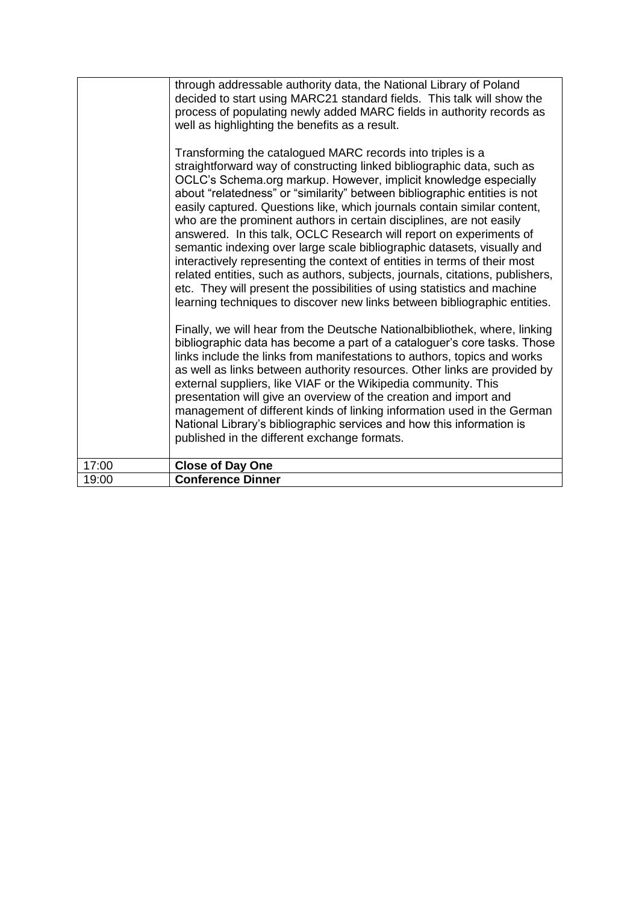|       | through addressable authority data, the National Library of Poland<br>decided to start using MARC21 standard fields. This talk will show the<br>process of populating newly added MARC fields in authority records as<br>well as highlighting the benefits as a result.<br>Transforming the catalogued MARC records into triples is a<br>straightforward way of constructing linked bibliographic data, such as<br>OCLC's Schema.org markup. However, implicit knowledge especially<br>about "relatedness" or "similarity" between bibliographic entities is not<br>easily captured. Questions like, which journals contain similar content,<br>who are the prominent authors in certain disciplines, are not easily<br>answered. In this talk, OCLC Research will report on experiments of<br>semantic indexing over large scale bibliographic datasets, visually and<br>interactively representing the context of entities in terms of their most<br>related entities, such as authors, subjects, journals, citations, publishers,<br>etc. They will present the possibilities of using statistics and machine<br>learning techniques to discover new links between bibliographic entities.<br>Finally, we will hear from the Deutsche Nationalbibliothek, where, linking<br>bibliographic data has become a part of a cataloguer's core tasks. Those<br>links include the links from manifestations to authors, topics and works<br>as well as links between authority resources. Other links are provided by<br>external suppliers, like VIAF or the Wikipedia community. This<br>presentation will give an overview of the creation and import and<br>management of different kinds of linking information used in the German<br>National Library's bibliographic services and how this information is<br>published in the different exchange formats. |
|-------|-------------------------------------------------------------------------------------------------------------------------------------------------------------------------------------------------------------------------------------------------------------------------------------------------------------------------------------------------------------------------------------------------------------------------------------------------------------------------------------------------------------------------------------------------------------------------------------------------------------------------------------------------------------------------------------------------------------------------------------------------------------------------------------------------------------------------------------------------------------------------------------------------------------------------------------------------------------------------------------------------------------------------------------------------------------------------------------------------------------------------------------------------------------------------------------------------------------------------------------------------------------------------------------------------------------------------------------------------------------------------------------------------------------------------------------------------------------------------------------------------------------------------------------------------------------------------------------------------------------------------------------------------------------------------------------------------------------------------------------------------------------------------------------------------------------------------------------------------------------|
| 17:00 | <b>Close of Day One</b>                                                                                                                                                                                                                                                                                                                                                                                                                                                                                                                                                                                                                                                                                                                                                                                                                                                                                                                                                                                                                                                                                                                                                                                                                                                                                                                                                                                                                                                                                                                                                                                                                                                                                                                                                                                                                                     |
| 19:00 | <b>Conference Dinner</b>                                                                                                                                                                                                                                                                                                                                                                                                                                                                                                                                                                                                                                                                                                                                                                                                                                                                                                                                                                                                                                                                                                                                                                                                                                                                                                                                                                                                                                                                                                                                                                                                                                                                                                                                                                                                                                    |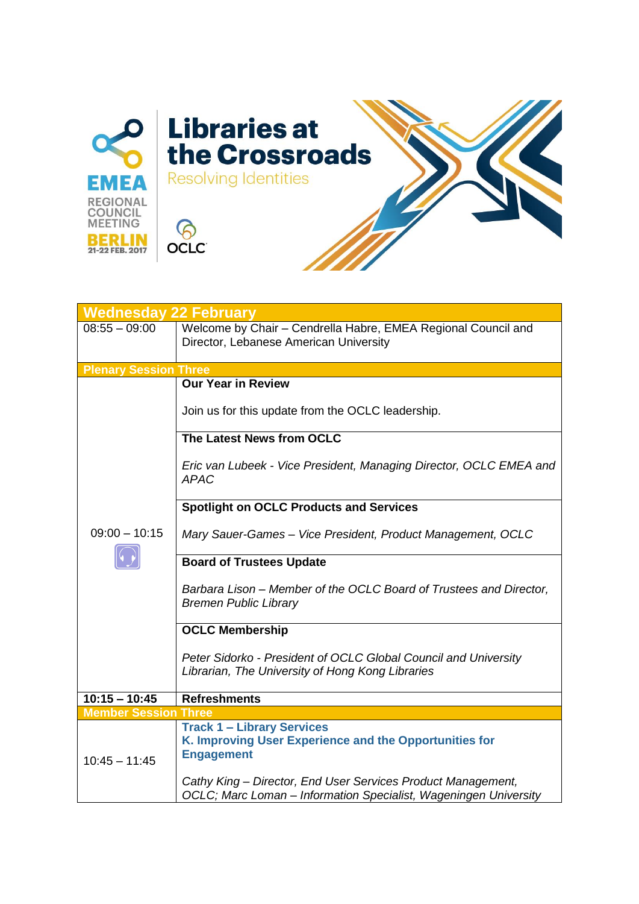

| <b>Wednesday 22 February</b> |                                                                                                                                  |
|------------------------------|----------------------------------------------------------------------------------------------------------------------------------|
| $08:55 - 09:00$              | Welcome by Chair - Cendrella Habre, EMEA Regional Council and<br>Director, Lebanese American University                          |
| <b>Plenary Session Three</b> |                                                                                                                                  |
|                              | <b>Our Year in Review</b><br>Join us for this update from the OCLC leadership.                                                   |
|                              | The Latest News from OCLC                                                                                                        |
|                              | Eric van Lubeek - Vice President, Managing Director, OCLC EMEA and<br><b>APAC</b>                                                |
|                              | <b>Spotlight on OCLC Products and Services</b>                                                                                   |
| $09:00 - 10:15$              | Mary Sauer-Games - Vice President, Product Management, OCLC                                                                      |
|                              | <b>Board of Trustees Update</b>                                                                                                  |
|                              | Barbara Lison – Member of the OCLC Board of Trustees and Director,<br><b>Bremen Public Library</b>                               |
|                              | <b>OCLC Membership</b>                                                                                                           |
|                              | Peter Sidorko - President of OCLC Global Council and University<br>Librarian, The University of Hong Kong Libraries              |
| $10:15 - 10:45$              | <b>Refreshments</b>                                                                                                              |
| <b>Member Session Three</b>  |                                                                                                                                  |
| $10:45 - 11:45$              | <b>Track 1 - Library Services</b><br>K. Improving User Experience and the Opportunities for<br><b>Engagement</b>                 |
|                              | Cathy King - Director, End User Services Product Management,<br>OCLC; Marc Loman - Information Specialist, Wageningen University |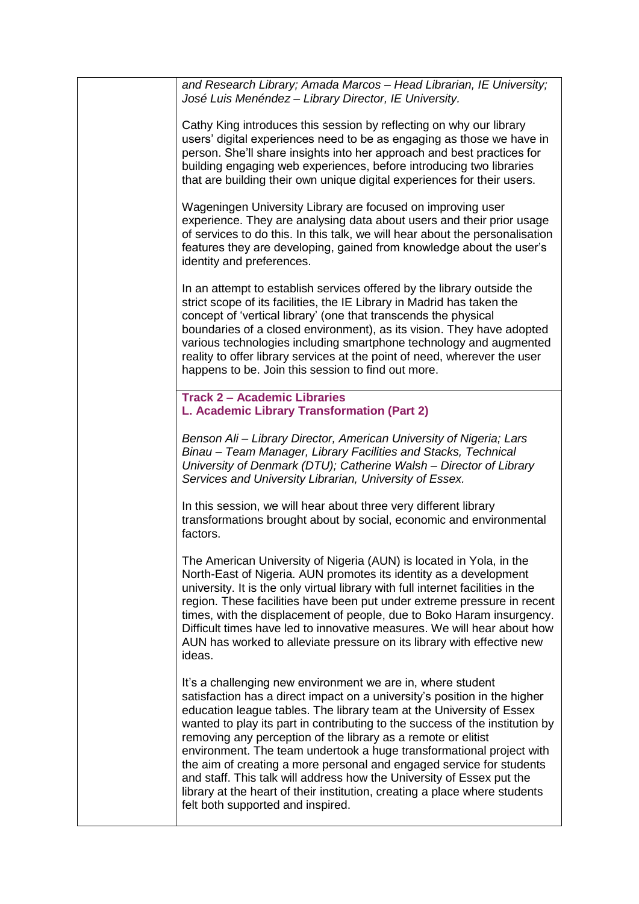| and Research Library; Amada Marcos - Head Librarian, IE University;<br>José Luis Menéndez - Library Director, IE University.                                                                                                                                                                                                                                                                                                                                                                                                                                                                                                                                                                                  |
|---------------------------------------------------------------------------------------------------------------------------------------------------------------------------------------------------------------------------------------------------------------------------------------------------------------------------------------------------------------------------------------------------------------------------------------------------------------------------------------------------------------------------------------------------------------------------------------------------------------------------------------------------------------------------------------------------------------|
| Cathy King introduces this session by reflecting on why our library<br>users' digital experiences need to be as engaging as those we have in<br>person. She'll share insights into her approach and best practices for<br>building engaging web experiences, before introducing two libraries<br>that are building their own unique digital experiences for their users.                                                                                                                                                                                                                                                                                                                                      |
| Wageningen University Library are focused on improving user<br>experience. They are analysing data about users and their prior usage<br>of services to do this. In this talk, we will hear about the personalisation<br>features they are developing, gained from knowledge about the user's<br>identity and preferences.                                                                                                                                                                                                                                                                                                                                                                                     |
| In an attempt to establish services offered by the library outside the<br>strict scope of its facilities, the IE Library in Madrid has taken the<br>concept of 'vertical library' (one that transcends the physical<br>boundaries of a closed environment), as its vision. They have adopted<br>various technologies including smartphone technology and augmented<br>reality to offer library services at the point of need, wherever the user<br>happens to be. Join this session to find out more.                                                                                                                                                                                                         |
| <b>Track 2 - Academic Libraries</b><br>L. Academic Library Transformation (Part 2)                                                                                                                                                                                                                                                                                                                                                                                                                                                                                                                                                                                                                            |
| Benson Ali - Library Director, American University of Nigeria; Lars<br>Binau - Team Manager, Library Facilities and Stacks, Technical<br>University of Denmark (DTU); Catherine Walsh - Director of Library<br>Services and University Librarian, University of Essex.                                                                                                                                                                                                                                                                                                                                                                                                                                        |
| In this session, we will hear about three very different library<br>transformations brought about by social, economic and environmental<br>factors.                                                                                                                                                                                                                                                                                                                                                                                                                                                                                                                                                           |
| The American University of Nigeria (AUN) is located in Yola, in the<br>North-East of Nigeria. AUN promotes its identity as a development<br>university. It is the only virtual library with full internet facilities in the<br>region. These facilities have been put under extreme pressure in recent<br>times, with the displacement of people, due to Boko Haram insurgency.<br>Difficult times have led to innovative measures. We will hear about how<br>AUN has worked to alleviate pressure on its library with effective new<br>ideas.                                                                                                                                                                |
| It's a challenging new environment we are in, where student<br>satisfaction has a direct impact on a university's position in the higher<br>education league tables. The library team at the University of Essex<br>wanted to play its part in contributing to the success of the institution by<br>removing any perception of the library as a remote or elitist<br>environment. The team undertook a huge transformational project with<br>the aim of creating a more personal and engaged service for students<br>and staff. This talk will address how the University of Essex put the<br>library at the heart of their institution, creating a place where students<br>felt both supported and inspired. |
|                                                                                                                                                                                                                                                                                                                                                                                                                                                                                                                                                                                                                                                                                                               |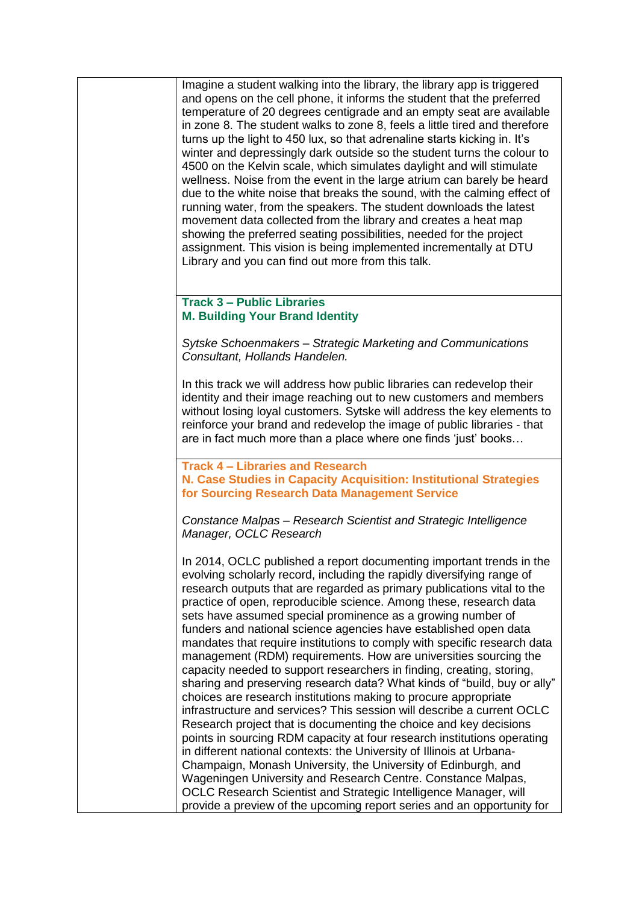Imagine a student walking into the library, the library app is triggered and opens on the cell phone, it informs the student that the preferred temperature of 20 degrees centigrade and an empty seat are available in zone 8. The student walks to zone 8, feels a little tired and therefore turns up the light to 450 lux, so that adrenaline starts kicking in. It's winter and depressingly dark outside so the student turns the colour to 4500 on the Kelvin scale, which simulates daylight and will stimulate wellness. Noise from the event in the large atrium can barely be heard due to the white noise that breaks the sound, with the calming effect of running water, from the speakers. The student downloads the latest movement data collected from the library and creates a heat map showing the preferred seating possibilities, needed for the project assignment. This vision is being implemented incrementally at DTU Library and you can find out more from this talk.

## **Track 3 – Public Libraries M. Building Your Brand Identity**

*Sytske Schoenmakers – Strategic Marketing and Communications Consultant, Hollands Handelen.*

In this track we will address how public libraries can redevelop their identity and their image reaching out to new customers and members without losing loyal customers. Sytske will address the key elements to reinforce your brand and redevelop the image of public libraries - that are in fact much more than a place where one finds 'just' books…

**Track 4 – Libraries and Research N. Case Studies in Capacity Acquisition: Institutional Strategies for Sourcing Research Data Management Service**

*Constance Malpas – Research Scientist and Strategic Intelligence Manager, OCLC Research*

In 2014, OCLC published a report documenting important trends in the evolving scholarly record, including the rapidly diversifying range of research outputs that are regarded as primary publications vital to the practice of open, reproducible science. Among these, research data sets have assumed special prominence as a growing number of funders and national science agencies have established open data mandates that require institutions to comply with specific research data management (RDM) requirements. How are universities sourcing the capacity needed to support researchers in finding, creating, storing, sharing and preserving research data? What kinds of "build, buy or ally" choices are research institutions making to procure appropriate infrastructure and services? This session will describe a current OCLC Research project that is documenting the choice and key decisions points in sourcing RDM capacity at four research institutions operating in different national contexts: the University of Illinois at Urbana-Champaign, Monash University, the University of Edinburgh, and Wageningen University and Research Centre. Constance Malpas, OCLC Research Scientist and Strategic Intelligence Manager, will provide a preview of the upcoming report series and an opportunity for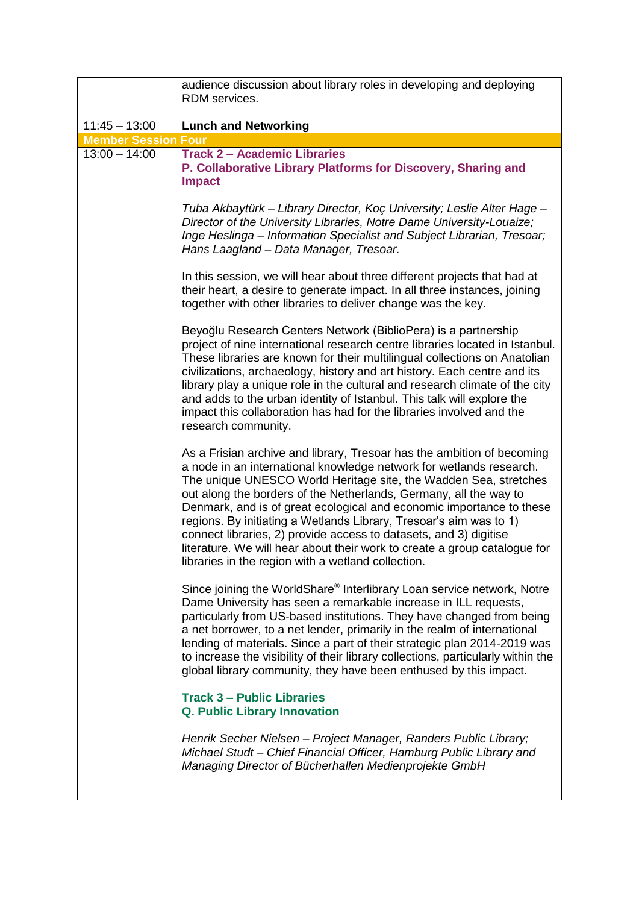|                                               | audience discussion about library roles in developing and deploying                                                                                                                                                                                                                                                                                                                                                                                                                                                                                                                                                                          |
|-----------------------------------------------|----------------------------------------------------------------------------------------------------------------------------------------------------------------------------------------------------------------------------------------------------------------------------------------------------------------------------------------------------------------------------------------------------------------------------------------------------------------------------------------------------------------------------------------------------------------------------------------------------------------------------------------------|
|                                               | RDM services.                                                                                                                                                                                                                                                                                                                                                                                                                                                                                                                                                                                                                                |
|                                               |                                                                                                                                                                                                                                                                                                                                                                                                                                                                                                                                                                                                                                              |
| $11:45 - 13:00$<br><b>Member Session Four</b> | <b>Lunch and Networking</b>                                                                                                                                                                                                                                                                                                                                                                                                                                                                                                                                                                                                                  |
| $13:00 - 14:00$                               | <b>Track 2 - Academic Libraries</b>                                                                                                                                                                                                                                                                                                                                                                                                                                                                                                                                                                                                          |
|                                               | P. Collaborative Library Platforms for Discovery, Sharing and<br><b>Impact</b>                                                                                                                                                                                                                                                                                                                                                                                                                                                                                                                                                               |
|                                               | Tuba Akbaytürk - Library Director, Koç University; Leslie Alter Hage -<br>Director of the University Libraries, Notre Dame University-Louaize;<br>Inge Heslinga - Information Specialist and Subject Librarian, Tresoar;<br>Hans Laagland - Data Manager, Tresoar.                                                                                                                                                                                                                                                                                                                                                                           |
|                                               | In this session, we will hear about three different projects that had at<br>their heart, a desire to generate impact. In all three instances, joining<br>together with other libraries to deliver change was the key.                                                                                                                                                                                                                                                                                                                                                                                                                        |
|                                               | Beyoğlu Research Centers Network (BiblioPera) is a partnership<br>project of nine international research centre libraries located in Istanbul.<br>These libraries are known for their multilingual collections on Anatolian<br>civilizations, archaeology, history and art history. Each centre and its<br>library play a unique role in the cultural and research climate of the city<br>and adds to the urban identity of Istanbul. This talk will explore the<br>impact this collaboration has had for the libraries involved and the<br>research community.                                                                              |
|                                               | As a Frisian archive and library, Tresoar has the ambition of becoming<br>a node in an international knowledge network for wetlands research.<br>The unique UNESCO World Heritage site, the Wadden Sea, stretches<br>out along the borders of the Netherlands, Germany, all the way to<br>Denmark, and is of great ecological and economic importance to these<br>regions. By initiating a Wetlands Library, Tresoar's aim was to 1)<br>connect libraries, 2) provide access to datasets, and 3) digitise<br>literature. We will hear about their work to create a group catalogue for<br>libraries in the region with a wetland collection. |
|                                               | Since joining the WorldShare® Interlibrary Loan service network, Notre<br>Dame University has seen a remarkable increase in ILL requests,<br>particularly from US-based institutions. They have changed from being<br>a net borrower, to a net lender, primarily in the realm of international<br>lending of materials. Since a part of their strategic plan 2014-2019 was<br>to increase the visibility of their library collections, particularly within the<br>global library community, they have been enthused by this impact.                                                                                                          |
|                                               | <b>Track 3 - Public Libraries</b><br>Q. Public Library Innovation                                                                                                                                                                                                                                                                                                                                                                                                                                                                                                                                                                            |
|                                               | Henrik Secher Nielsen - Project Manager, Randers Public Library;<br>Michael Studt - Chief Financial Officer, Hamburg Public Library and<br>Managing Director of Bücherhallen Medienprojekte GmbH                                                                                                                                                                                                                                                                                                                                                                                                                                             |
|                                               |                                                                                                                                                                                                                                                                                                                                                                                                                                                                                                                                                                                                                                              |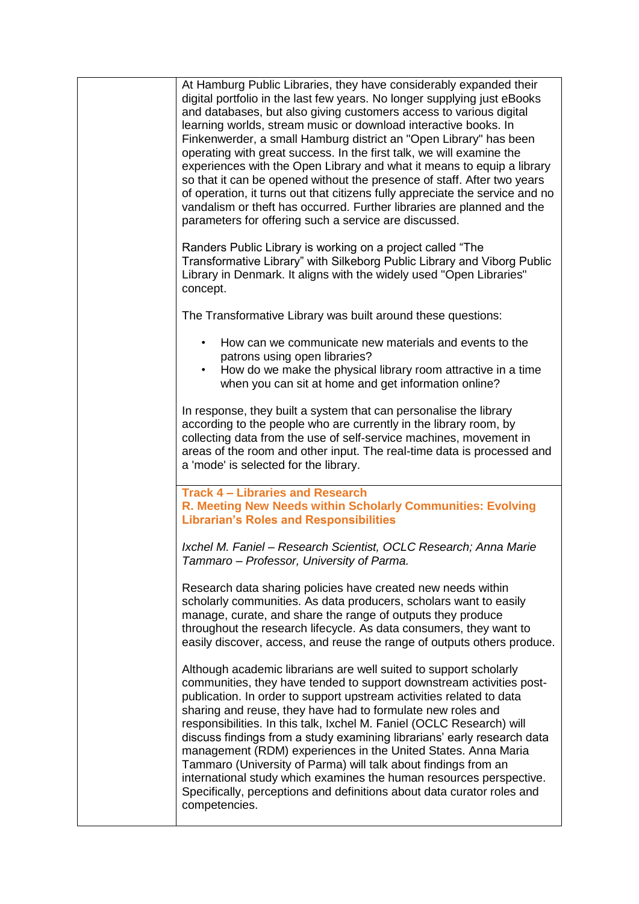| At Hamburg Public Libraries, they have considerably expanded their<br>digital portfolio in the last few years. No longer supplying just eBooks<br>and databases, but also giving customers access to various digital<br>learning worlds, stream music or download interactive books. In<br>Finkenwerder, a small Hamburg district an "Open Library" has been<br>operating with great success. In the first talk, we will examine the<br>experiences with the Open Library and what it means to equip a library<br>so that it can be opened without the presence of staff. After two years<br>of operation, it turns out that citizens fully appreciate the service and no<br>vandalism or theft has occurred. Further libraries are planned and the<br>parameters for offering such a service are discussed. |
|--------------------------------------------------------------------------------------------------------------------------------------------------------------------------------------------------------------------------------------------------------------------------------------------------------------------------------------------------------------------------------------------------------------------------------------------------------------------------------------------------------------------------------------------------------------------------------------------------------------------------------------------------------------------------------------------------------------------------------------------------------------------------------------------------------------|
| Randers Public Library is working on a project called "The<br>Transformative Library" with Silkeborg Public Library and Viborg Public<br>Library in Denmark. It aligns with the widely used "Open Libraries"<br>concept.                                                                                                                                                                                                                                                                                                                                                                                                                                                                                                                                                                                     |
| The Transformative Library was built around these questions:                                                                                                                                                                                                                                                                                                                                                                                                                                                                                                                                                                                                                                                                                                                                                 |
| How can we communicate new materials and events to the<br>$\bullet$<br>patrons using open libraries?<br>How do we make the physical library room attractive in a time<br>$\bullet$<br>when you can sit at home and get information online?                                                                                                                                                                                                                                                                                                                                                                                                                                                                                                                                                                   |
| In response, they built a system that can personalise the library<br>according to the people who are currently in the library room, by<br>collecting data from the use of self-service machines, movement in<br>areas of the room and other input. The real-time data is processed and<br>a 'mode' is selected for the library.                                                                                                                                                                                                                                                                                                                                                                                                                                                                              |
| <b>Track 4 - Libraries and Research</b><br>R. Meeting New Needs within Scholarly Communities: Evolving<br><b>Librarian's Roles and Responsibilities</b>                                                                                                                                                                                                                                                                                                                                                                                                                                                                                                                                                                                                                                                      |
| Ixchel M. Faniel - Research Scientist, OCLC Research; Anna Marie<br>Tammaro – Professor, University of Parma.                                                                                                                                                                                                                                                                                                                                                                                                                                                                                                                                                                                                                                                                                                |
| Research data sharing policies have created new needs within<br>scholarly communities. As data producers, scholars want to easily<br>manage, curate, and share the range of outputs they produce<br>throughout the research lifecycle. As data consumers, they want to<br>easily discover, access, and reuse the range of outputs others produce.                                                                                                                                                                                                                                                                                                                                                                                                                                                            |
| Although academic librarians are well suited to support scholarly<br>communities, they have tended to support downstream activities post-<br>publication. In order to support upstream activities related to data<br>sharing and reuse, they have had to formulate new roles and<br>responsibilities. In this talk, Ixchel M. Faniel (OCLC Research) will<br>discuss findings from a study examining librarians' early research data<br>management (RDM) experiences in the United States. Anna Maria<br>Tammaro (University of Parma) will talk about findings from an<br>international study which examines the human resources perspective.<br>Specifically, perceptions and definitions about data curator roles and<br>competencies.                                                                    |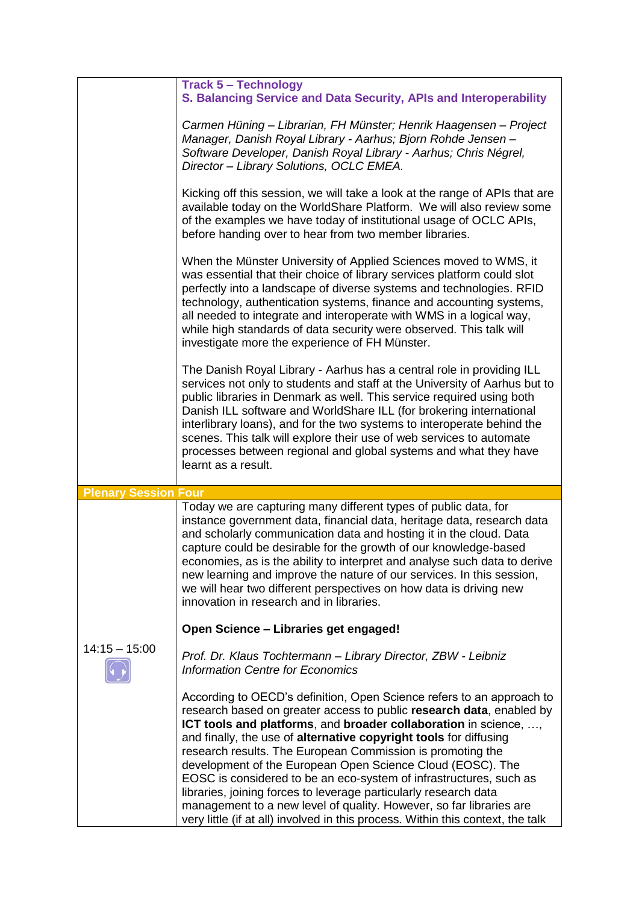|                             | <b>Track 5 - Technology</b>                                                                                                                                                                                                                                                                                                                                                                                                                                                                                                                                 |
|-----------------------------|-------------------------------------------------------------------------------------------------------------------------------------------------------------------------------------------------------------------------------------------------------------------------------------------------------------------------------------------------------------------------------------------------------------------------------------------------------------------------------------------------------------------------------------------------------------|
|                             | S. Balancing Service and Data Security, APIs and Interoperability                                                                                                                                                                                                                                                                                                                                                                                                                                                                                           |
|                             | Carmen Hüning - Librarian, FH Münster; Henrik Haagensen - Project<br>Manager, Danish Royal Library - Aarhus; Bjorn Rohde Jensen -<br>Software Developer, Danish Royal Library - Aarhus; Chris Négrel,<br>Director - Library Solutions, OCLC EMEA.                                                                                                                                                                                                                                                                                                           |
|                             | Kicking off this session, we will take a look at the range of APIs that are<br>available today on the WorldShare Platform. We will also review some<br>of the examples we have today of institutional usage of OCLC APIs,<br>before handing over to hear from two member libraries.                                                                                                                                                                                                                                                                         |
|                             | When the Münster University of Applied Sciences moved to WMS, it<br>was essential that their choice of library services platform could slot<br>perfectly into a landscape of diverse systems and technologies. RFID<br>technology, authentication systems, finance and accounting systems,<br>all needed to integrate and interoperate with WMS in a logical way,<br>while high standards of data security were observed. This talk will<br>investigate more the experience of FH Münster.                                                                  |
|                             | The Danish Royal Library - Aarhus has a central role in providing ILL<br>services not only to students and staff at the University of Aarhus but to<br>public libraries in Denmark as well. This service required using both<br>Danish ILL software and WorldShare ILL (for brokering international<br>interlibrary loans), and for the two systems to interoperate behind the<br>scenes. This talk will explore their use of web services to automate<br>processes between regional and global systems and what they have<br>learnt as a result.           |
|                             |                                                                                                                                                                                                                                                                                                                                                                                                                                                                                                                                                             |
|                             |                                                                                                                                                                                                                                                                                                                                                                                                                                                                                                                                                             |
| <b>Plenary Session Four</b> | Today we are capturing many different types of public data, for<br>instance government data, financial data, heritage data, research data<br>and scholarly communication data and hosting it in the cloud. Data<br>capture could be desirable for the growth of our knowledge-based<br>economies, as is the ability to interpret and analyse such data to derive<br>new learning and improve the nature of our services. In this session,<br>we will hear two different perspectives on how data is driving new<br>innovation in research and in libraries. |
|                             | Open Science - Libraries get engaged!                                                                                                                                                                                                                                                                                                                                                                                                                                                                                                                       |
| $14:15 - 15:00$             | Prof. Dr. Klaus Tochtermann - Library Director, ZBW - Leibniz<br><b>Information Centre for Economics</b>                                                                                                                                                                                                                                                                                                                                                                                                                                                    |